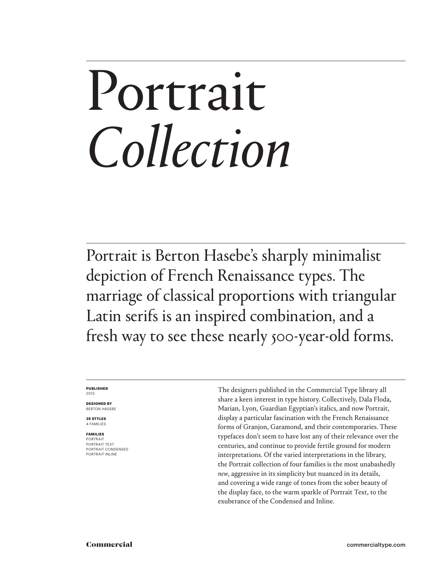## Portrait *Collection*

Portrait is Berton Hasebe's sharply minimalist depiction of French Renaissance types. The marriage of classical proportions with triangular Latin serifs is an inspired combination, and a fresh way to see these nearly 500-year-old forms.

### **PUBLISHED** 2013

**DESIGNED BY** BERTON HASEBE

**35 STYLES** 4 FAMILIES

**FAMILIES** PORTRAIT PORTRAIT TEXT PORTRAIT CONDENSED PORTRAIT INLINE

The designers published in the Commercial Type library all share a keen interest in type history. Collectively, Dala Floda, Marian, Lyon, Guardian Egyptian's italics, and now Portrait, display a particular fascination with the French Renaissance forms of Granjon, Garamond, and their contemporaries. These typefaces don't seem to have lost any of their relevance over the centuries, and continue to provide fertile ground for modern interpretations. Of the varied interpretations in the library, the Portrait collection of four families is the most unabashedly *new*, aggressive in its simplicity but nuanced in its details, and covering a wide range of tones from the sober beauty of the display face, to the warm sparkle of Portrait Text, to the exuberance of the Condensed and Inline.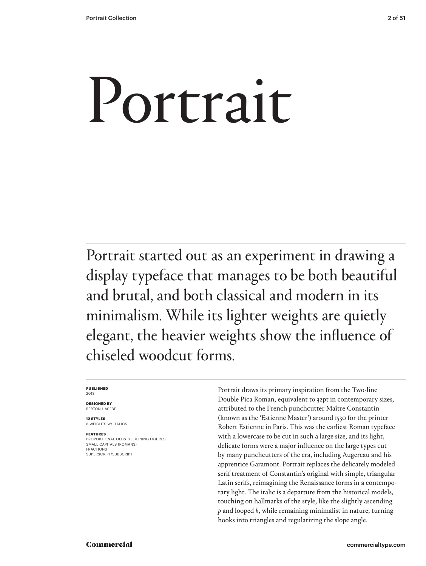# Portrait

Portrait started out as an experiment in drawing a display typeface that manages to be both beautiful and brutal, and both classical and modern in its minimalism. While its lighter weights are quietly elegant, the heavier weights show the influence of chiseled woodcut forms.

### **PUBLISHED** 2013

**DESIGNED BY** BERTON HASEBE

**12 STYLES** 6 WEIGHTS W/ ITALICS

**FEATURES** PROPORTIONAL OLDSTYLE/LINING FIGURES SMALL CAPITALS (ROMANS) FRACTIONS SUPERSCRIPT/SUBSCRIPT

Portrait draws its primary inspiration from the Two-line Double Pica Roman, equivalent to 32pt in contemporary sizes, attributed to the French punchcutter Maître Constantin (known as the 'Estienne Master') around 1530 for the printer Robert Estienne in Paris. This was the earliest Roman typeface with a lowercase to be cut in such a large size, and its light, delicate forms were a major influence on the large types cut by many punchcutters of the era, including Augereau and his apprentice Garamont. Portrait replaces the delicately modeled serif treatment of Constantin's original with simple, triangular Latin serifs, reimagining the Renaissance forms in a contemporary light. The italic is a departure from the historical models, touching on hallmarks of the style, like the slightly ascending *p* and looped *k*, while remaining minimalist in nature, turning hooks into triangles and regularizing the slope angle.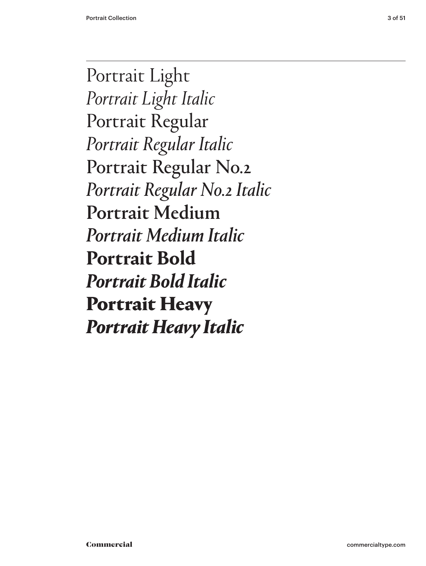Portrait Light *Portrait Light Italic* Portrait Regular *Portrait Regular Italic* Portrait Regular No.2 *Portrait Regular No.2 Italic* Portrait Medium *Portrait Medium Italic* **Portrait Bold** *Portrait Bold Italic* Portrait Heavy *Portrait Heavy Italic*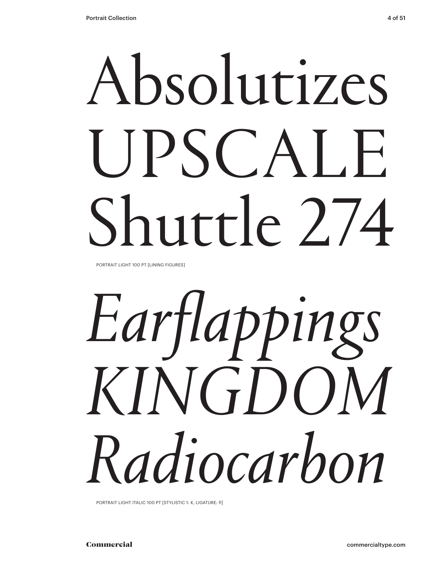# Absolutizes UPSCALE Shuttle 2.74

PORTRAIT LIGHT 100 PT [LINING FIGURES]

# *Earflappings KINGDOM Radiocarbon*

PORTRAIT LIGHT ITALIC 100 PT [STYLISTIC 1: K, LIGATURE: fl]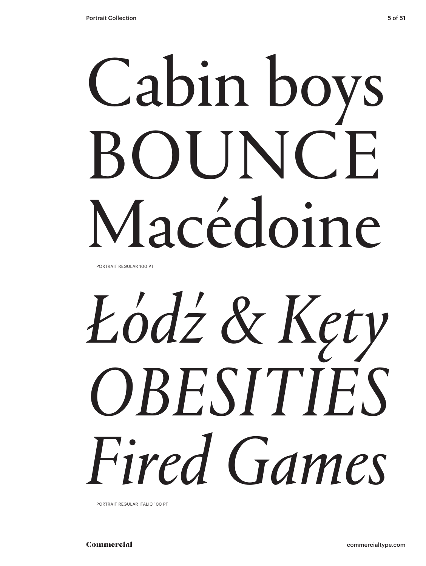# Cabin boys BOUNCE Macédoine

PORTRAIT REGULAR 100 PT

# *Łódź & Kęty OBESITIES Fired Games*

PORTRAIT REGULAR ITALIC 100 PT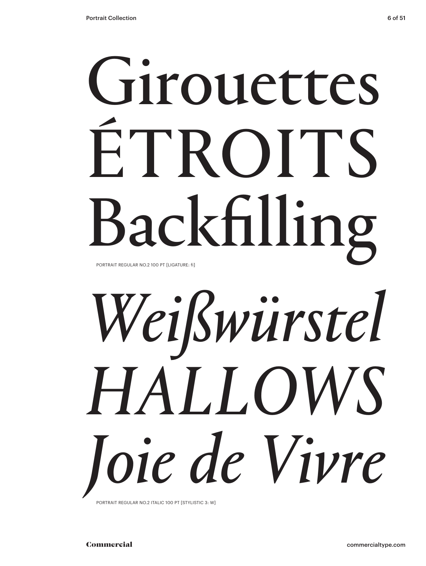## Girouettes ÉTROITS Backfilling PORTRAIT REGULAR NO.2 100 PT [LIGATURE: fi]

# *Weißwürstel HALLOWS Joie de Vivre*

PORTRAIT REGULAR NO.2 ITALIC 100 PT [STYLISTIC 3: W]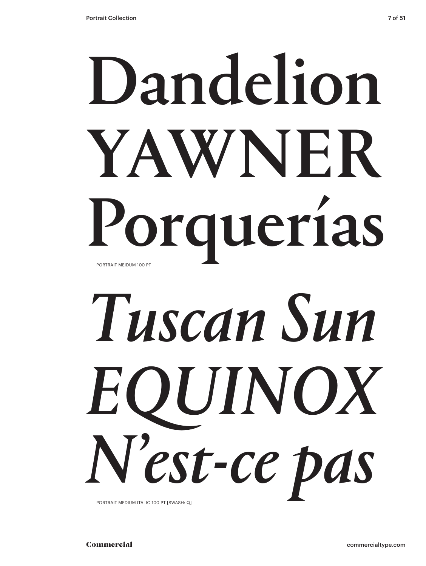## Dandelion YAWNER Porquerías PORTRAIT MEIDUM 100 PT

# *Tuscan Sun EQUINOX N'est-ce pas*

PORTRAIT MEDIUM ITALIC 100 PT [SWASH: Q]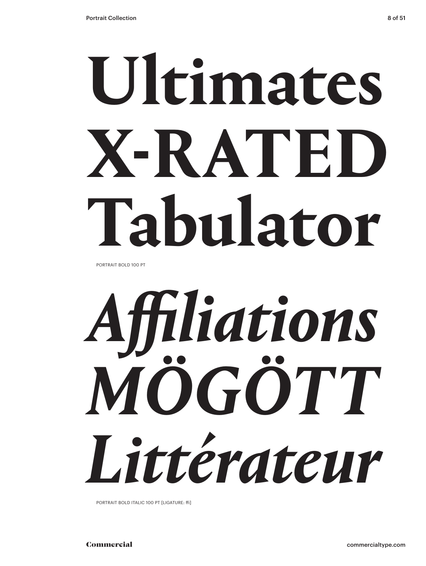# **Ultimates X-RATED Tabulator**

PORTRAIT BOLD 100 PT



PORTRAIT BOLD ITALIC 100 PT [LIGATURE: ffi]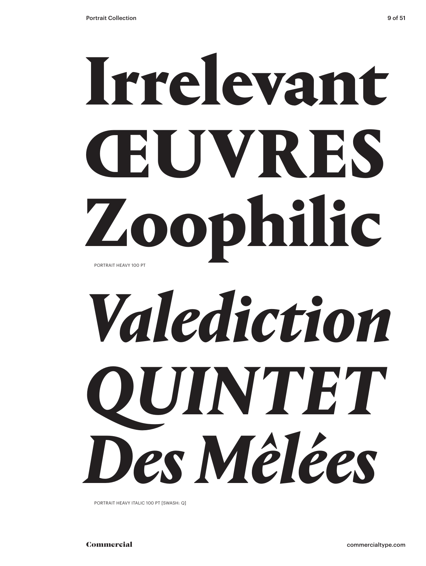## Irrelevant ŒUVRES Zoophilic PORTRAIT HEAVY 100 PT

# *Valediction QUINTET Des Mêlées*

PORTRAIT HEAVY ITALIC 100 PT [SWASH: Q]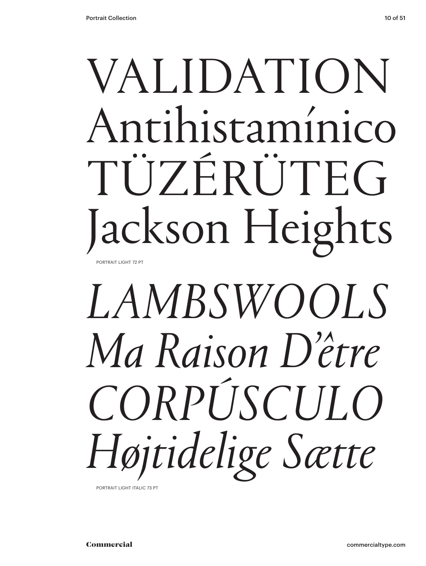### VALIDATION Antihistamínico TÜZÉRÜTEG Jackson Heights PORTRAIT LIGHT 72 PT

## *LAMBSWOOLS Ma Raison D'être CORPÚSCULO Højtidelige Sætte*

PORTRAIT LIGHT ITALIC 73 PT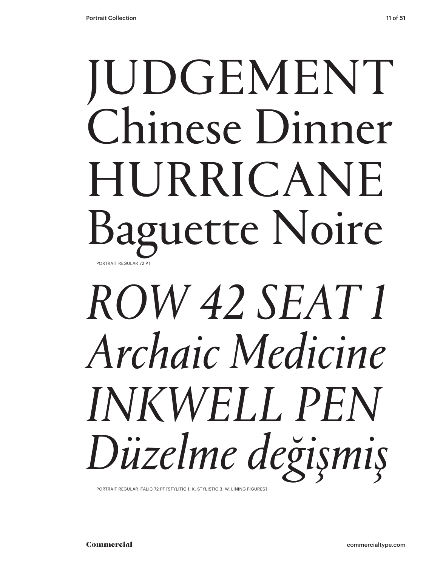### JUDGEMENT Chinese Dinner HURRICANE Baguette Noire PORTRAIT REGULAR 72 PT

## *ROW 42 SEAT 1 Archaic Medicine INKWELL PEN Düzelme değişmiş*

PORTRAIT REGULAR ITALIC 72 PT [STYLITIC 1: K, STYLISTIC 3: W, LINING FIGURES]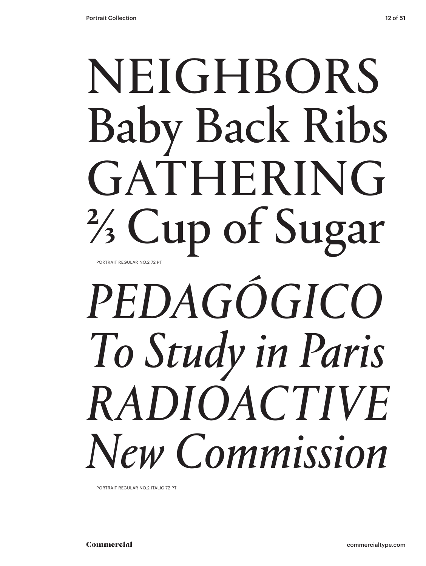### NEIGHBORS Baby Back Ribs GATHERING ⅔ Cup of Sugar PORTRAIT REGULAR NO.2 72 PT

## *PEDAGÓGICO To Study in Paris RADIOACTIVE New Commission*

PORTRAIT REGULAR NO.2 ITALIC 72 PT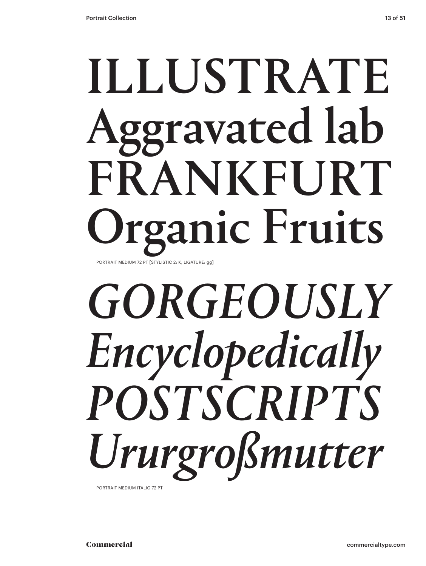### ILLUSTRATE Aggravated lab FRANKFURT ganic Fruits PORTRAIT MEDIUM 72 PT [STYLISTIC 2: K, LIGATURE: gg]

## *GORGEOUSLY Encyclopedically POSTSCRIPTS Ururgroßmutter*

PORTRAIT MEDIUM ITALIC 72 PT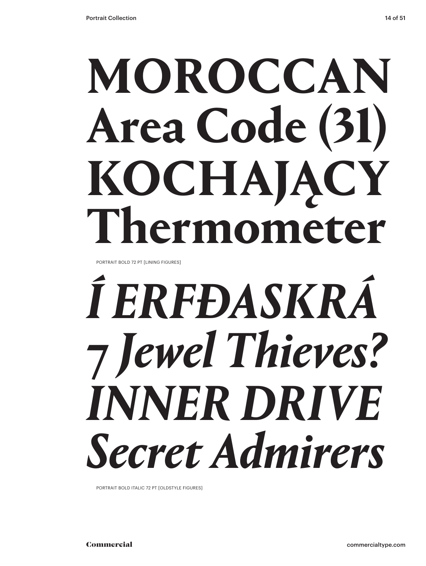# **MOROCCAN**

## **Area Code (31) KOCHAJĄCY Thermometer**

PORTRAIT BOLD 72 PT [LINING FIGURES]

## *Í ERFÐASKRÁ* **7** *Jewel Thieves? INNER DRIVE Secret Admirers*

PORTRAIT BOLD ITALIC 72 PT [OLDSTYLE FIGURES]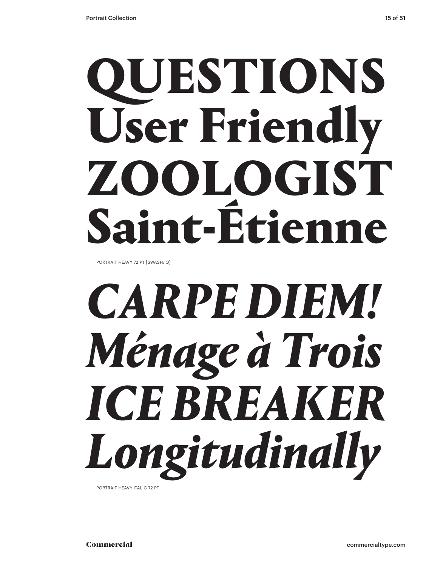## QUESTIONS User Friendly ZOOLOGIST Saint-Étienne

PORTRAIT HEAVY 72 PT [SWASH: Q]

## *CARPE DIEM! Ménage à Trois ICE BREAKER Longitudinally*

PORTRAIT HEAVY ITALIC 72 PT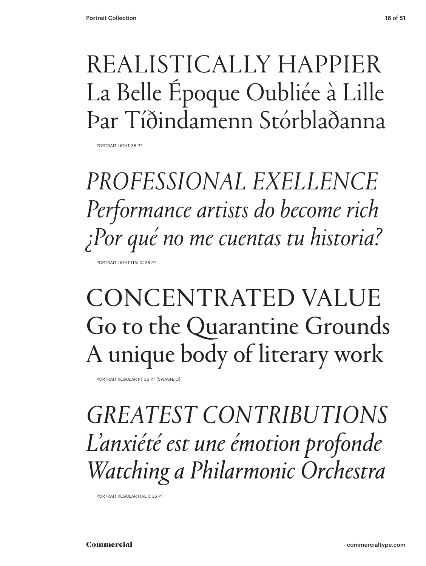### REALISTICALLY HAPPIER La Belle Époque Oubliée à Lille Þar Tíðindamenn Stórblaðanna

PORTRAIT LIGHT 36 PT

*PROFESSIONAL EXELLENCE Performance artists do become rich ¿Por qué no me cuentas tu historia?* PORTRAIT LIGHT ITALIC 36 PT

### CONCENTRATED VALUE Go to the Quarantine Grounds A unique body of literary work

PORTRAIT REGULAR PT 36 PT [SWASH: Q]

*GREATEST CONTRIBUTIONS L'anxiété est une émotion profonde Watching a Philarmonic Orchestra*

PORTRAIT REGULAR ITALIC 36 PT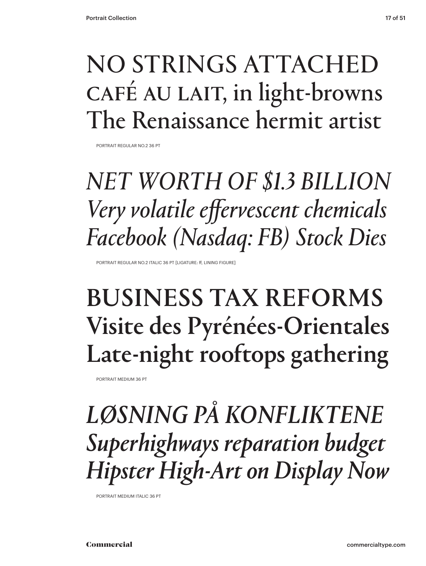### NO STRINGS ATTACHED CAFÉ AU LAIT, in light-browns The Renaissance hermit artist

PORTRAIT REGULAR NO.2 36 PT

### *NET WORTH OF \$1.3 BILLION Very volatile effervescent chemicals Facebook (Nasdaq: FB) Stock Dies*

PORTRAIT REGULAR NO.2 ITALIC 36 PT [LIGATURE: ff, LINING FIGURE]

### BUSINESS TAX REFORMS Visite des Pyrénées-Orientales Late-night rooftops gathering

PORTRAIT MEDIUM 36 PT

*LØSNING PÅ KONFLIKTENE Superhighways reparation budget Hipster High-Art on Display Now*

PORTRAIT MEDIUM ITALIC 36 PT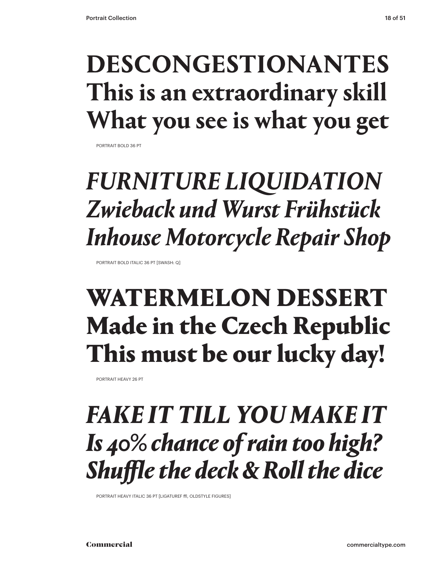### **DESCONGESTIONANTES This is an extraordinary skill What you see is what you get**

PORTRAIT BOLD 36 PT

### *FURNITURE LIQUIDATION Zwieback und Wurst Frühstück Inhouse Motorcycle Repair Shop*

PORTRAIT BOLD ITALIC 36 PT [SWASH: Q]

### WATERMELON DESSERT Made in the Czech Republic This must be our lucky day!

PORTRAIT HEAVY 26 PT

### *FAKE IT TILL YOU MAKE IT Is 40% chance of rain too high? Shuffle the deck & Roll the dice*

PORTRAIT HEAVY ITALIC 36 PT [LIGATUREF ffl, OLDSTYLE FIGURES]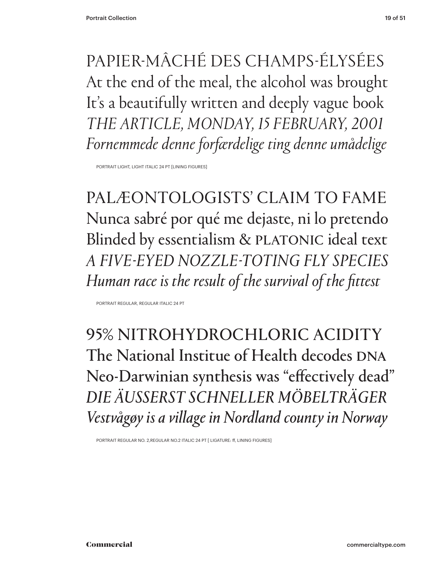PAPIER-MÂCHÉ DES CHAMPS-ÉLYSÉES At the end of the meal, the alcohol was brought It's a beautifully written and deeply vague book *THE ARTICLE, MONDAY, 15 FEBRUARY, 2001 Fornemmede denne forfærdelige ting denne umådelige*

PORTRAIT LIGHT, LIGHT ITALIC 24 PT [LINING FIGURES]

PALÆONTOLOGISTS' CLAIM TO FAME Nunca sabré por qué me dejaste, ni lo pretendo Blinded by essentialism & PLATONIC ideal text *A FIVE-EYED NOZZLE-TOTING FLY SPECIES Human race is the result of the survival of the fittest*

PORTRAIT REGULAR, REGULAR ITALIC 24 PT

95% NITROHYDROCHLORIC ACIDITY The National Institue of Health decodes DNA Neo-Darwinian synthesis was "effectively dead" *DIE ÄUSSERST SCHNELLER MÖBELTRÄGER Vestvågøy is a village in Nordland county in Norway* 

PORTRAIT REGULAR NO. 2,REGULAR NO.2 ITALIC 24 PT [ LIGATURE: ff, LINING FIGURES]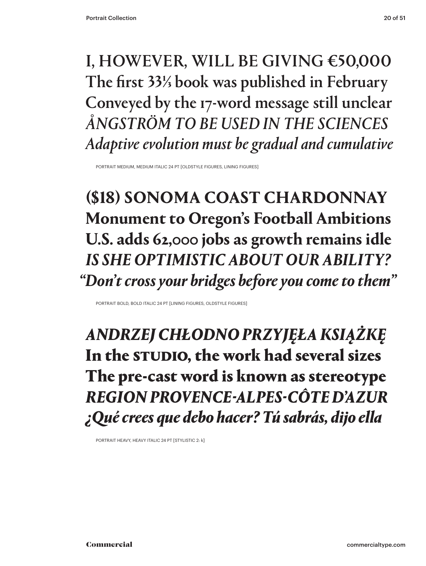### I, HOWEVER, WILL BE GIVING €50,000 The first 33⅓ book was published in February Conveyed by the 17-word message still unclear *ÅNGSTRÖM TO BE USED IN THE SCIENCES Adaptive evolution must be gradual and cumulative*

PORTRAIT MEDIUM, MEDIUM ITALIC 24 PT [OLDSTYLE FIGURES, LINING FIGURES]

**(\$18) SONOMA COAST CHARDONNAY Monument to Oregon's Football Ambitions U.S. adds 62,000 jobs as growth remains idle** *IS SHE OPTIMISTIC ABOUT OUR ABILITY? "Don't cross your bridges before you come to them"*

PORTRAIT BOLD, BOLD ITALIC 24 PT [LINING FIGURES, OLDSTYLE FIGURES]

*ANDRZEJ CHŁODNO PRZYJĘŁA KSIĄŻKĘ*  In the STUDIO, the work had several sizes The pre-cast word is known as stereotype *REGION PROVENCE-ALPES-CÔTE D'AZUR ¿Qué crees que debo hacer? Tú sabrás, dijo ella*

PORTRAIT HEAVY, HEAVY ITALIC 24 PT [STYLISTIC 2: k]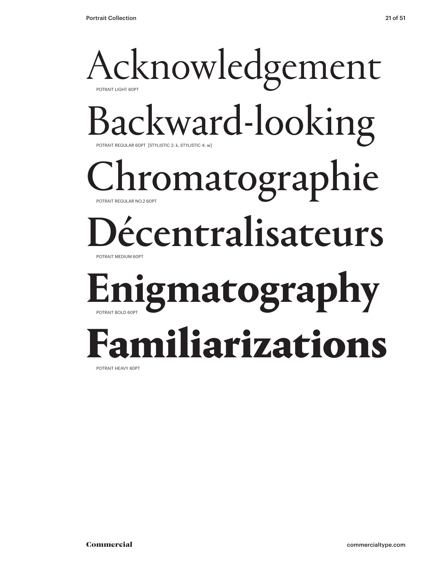### Acknowledgement POTRAIT LIGHT 60PT Backward-looking POTRAIT REGULAR 60PT [STYLISTIC 2: k, STYLISTIC 4: w] hromatographie POTRAIT REGULAR NO.2 60PT Décentralisateurs POTRAIT MEDIUM 60PT **Enigmatography** POTRAIT BOLD 60PT Familiarizations

POTRAIT HEAVY 60PT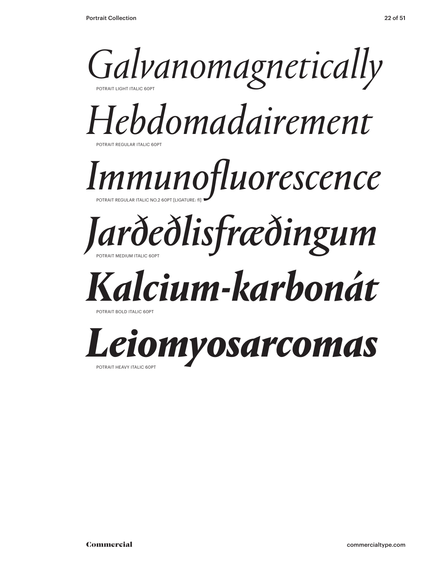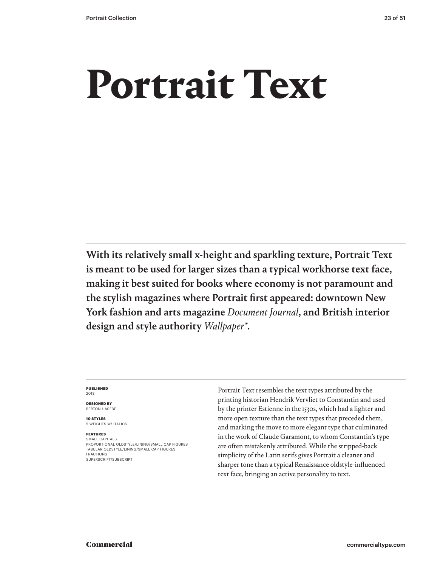## **Portrait Text**

With its relatively small x-height and sparkling texture, Portrait Text is meant to be used for larger sizes than a typical workhorse text face, making it best suited for books where economy is not paramount and the stylish magazines where Portrait first appeared: downtown New York fashion and arts magazine *Document Journal*, and British interior design and style authority *Wallpaper\**.

### **PUBLISHED** 2013

**DESIGNED BY** BERTON HASEBE

**10 STYLES** 5 WEIGHTS W/ ITALICS

### **FEATURES**

SMALL CAPITALS PROPORTIONAL OLDSTYLE/LINING/SMALL CAP FIGURES TABULAR OLDSTYLE/LINING/SMALL CAP FIGURES FRACTIONS SUPERSCRIPT/SUBSCRIPT

Portrait Text resembles the text types attributed by the printing historian Hendrik Vervliet to Constantin and used by the printer Estienne in the 1530s, which had a lighter and more open texture than the text types that preceded them, and marking the move to more elegant type that culminated in the work of Claude Garamont, to whom Constantin's type are often mistakenly attributed. While the stripped-back simplicity of the Latin serifs gives Portrait a cleaner and sharper tone than a typical Renaissance oldstyle-influenced text face, bringing an active personality to text.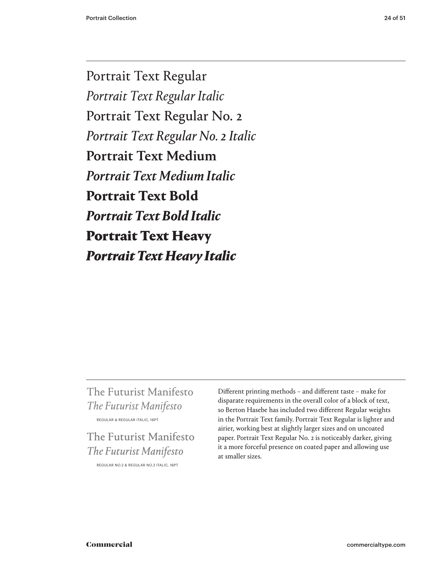Portrait Text Regular *Portrait Text Regular Italic* Portrait Text Regular No. 2 *Portrait Text Regular No. 2 Italic* Portrait Text Medium *Portrait Text Medium Italic* **Portrait Text Bold** *Portrait Text Bold Italic* Portrait Text Heavy *Portrait Text Heavy Italic*

### The Futurist Manifesto *The Futurist Manifesto*  REGULAR & REGULAR ITALIC, 16PT

### The Futurist Manifesto *The Futurist Manifesto* REGULAR NO.2 & REGULAR NO.2 ITALIC, 16PT

Different printing methods – and different taste – make for disparate requirements in the overall color of a block of text, so Berton Hasebe has included two different Regular weights in the Portrait Text family. Portrait Text Regular is lighter and airier, working best at slightly larger sizes and on uncoated paper. Portrait Text Regular No. 2 is noticeably darker, giving it a more forceful presence on coated paper and allowing use at smaller sizes.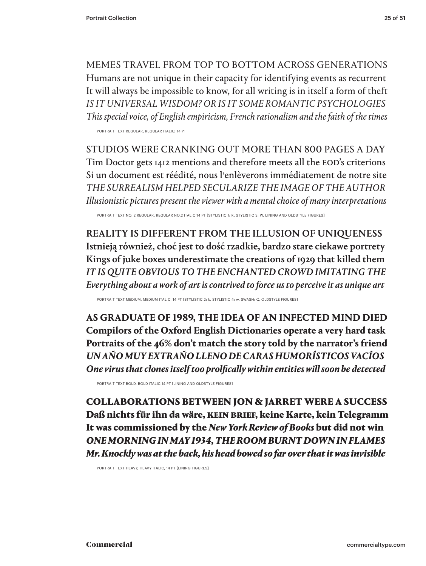MEMES TRAVEL FROM TOP TO BOTTOM ACROSS GENERATIONS Humans are not unique in their capacity for identifying events as recurrent It will always be impossible to know, for all writing is in itself a form of theft *IS IT UNIVERSAL WISDOM? OR IS IT SOME ROMANTIC PSYCHOLOGIES This special voice, of English empiricism, French rationalism and the faith of the times*

PORTRAIT TEXT REGULAR, REGULAR ITALIC, 14 PT

STUDIOS WERE CRANKING OUT MORE THAN 800 PAGES A DAY Tim Doctor gets 1412 mentions and therefore meets all the EOD's criterions Si un document est réédité, nous l'enlèverons immédiatement de notre site *THE SURREALISM HELPED SECULARIZE THE IMAGE OF THE AUTHOR Illusionistic pictures present the viewer with a mental choice of many interpretations*

PORTRAIT TEXT NO. 2 REGULAR, REGULAR NO.2 ITALIC 14 PT [STYLISTIC 1: K, STYLISTIC 3: W, LINING AND OLDSTYLE FIGURES]

REALITY IS DIFFERENT FROM THE ILLUSION OF UNIQUENESS Istnieją również, choć jest to dość rzadkie, bardzo stare ciekawe portrety Kings of juke boxes underestimate the creations of 1929 that killed them *IT IS QUITE OBVIOUS TO THE ENCHANTED CROWD IMITATING THE Everything about a work of art is contrived to force us to perceive it as unique art* 

PORTRAIT TEXT MEDIUM, MEDIUM ITALIC, 14 PT [STYLISTIC 2: k, STYLISTIC 4: w, SWASH: Q, OLDSTYLE FIGURES]

**AS GRADUATE OF 1989, THE IDEA OF AN INFECTED MIND DIED Compilors of the Oxford English Dictionaries operate a very hard task Portraits of the 46% don't match the story told by the narrator's friend** *UN AÑO MUY EXTRAÑO LLENO DE CARAS HUMORÍSTICOS VACÍOS One virus that clones itself too prolfically within entities will soon be detected*

PORTRAIT TEXT BOLD, BOLD ITALIC 14 PT [LINING AND OLDSTYLE FIGURES]

COLLABORATIONS BETWEEN JON & JARRET WERE A SUCCESS Daß nichts für ihn da wäre, KEIN BRIEF, keine Karte, kein Telegramm It was commissioned by the *New York Review of Books* but did not win *ONE MORNING IN MAY 1934, THE ROOM BURNT DOWN IN FLAMES Mr. Knockly was at the back, his head bowed so far over that it was invisible*

PORTRAIT TEXT HEAVY, HEAVY ITALIC, 14 PT [LINING FIGURES]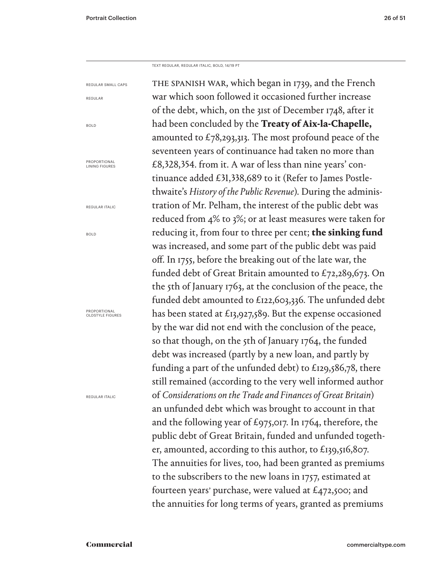TEXT REGULAR, REGULAR ITALIC, BOLD, 14/19 PT

THE SPANISH WAR, which began in 1739, and the French war which soon followed it occasioned further increase of the debt, which, on the 31st of December 1748, after it had been concluded by the **Treaty of Aix-la-Chapelle,**  amounted to  $\text{\textsterling}78,293,313$ . The most profound peace of the seventeen years of continuance had taken no more than £8,328,354. from it. A war of less than nine years' continuance added £31,338,689 to it (Refer to James Postlethwaite's *History of the Public Revenue*). During the administration of Mr. Pelham, the interest of the public debt was reduced from 4% to 3%; or at least measures were taken for reducing it, from four to three per cent; **the sinking fund** was increased, and some part of the public debt was paid off. In 1755, before the breaking out of the late war, the funded debt of Great Britain amounted to £72,289,673. On the 5th of January 1763, at the conclusion of the peace, the funded debt amounted to £122,603,336. The unfunded debt has been stated at £13,927,589. But the expense occasioned by the war did not end with the conclusion of the peace, so that though, on the 5th of January 1764, the funded debt was increased (partly by a new loan, and partly by funding a part of the unfunded debt) to £129,586,78, there still remained (according to the very well informed author of *Considerations on the Trade and Finances of Great Britain*) an unfunded debt which was brought to account in that and the following year of £975,017. In 1764, therefore, the public debt of Great Britain, funded and unfunded together, amounted, according to this author, to £139,516,807. The annuities for lives, too, had been granted as premiums to the subscribers to the new loans in 1757, estimated at fourteen years' purchase, were valued at  $£472,500$ ; and the annuities for long terms of years, granted as premiums REGULAR SMALL CAPS REGULAR BOLD PROPORTIONAL<br>LINING FIGURES REGULAR ITALIC BOLD PROPORTIONAL OLDSTYLE FIGURES REGULAR ITALIC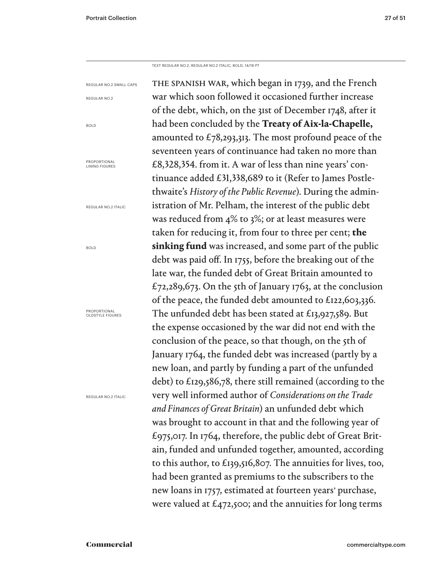BOLD

BOLD

TEXT REGULAR NO.2, REGULAR NO.2 ITALIC, BOLD, 14/19 PT

the spanish war, which began in 1739, and the French war which soon followed it occasioned further increase of the debt, which, on the 31st of December 1748, after it had been concluded by the **Treaty of Aix-la-Chapelle,**  amounted to  $\text{\textsterling}78,293,313$ . The most profound peace of the seventeen years of continuance had taken no more than £8,328,354. from it. A war of less than nine years' continuance added £31,338,689 to it (Refer to James Postlethwaite's *History of the Public Revenue*). During the administration of Mr. Pelham, the interest of the public debt was reduced from 4% to 3%; or at least measures were taken for reducing it, from four to three per cent; **the sinking fund** was increased, and some part of the public debt was paid off. In 1755, before the breaking out of the late war, the funded debt of Great Britain amounted to £72,289,673. On the 5th of January 1763, at the conclusion of the peace, the funded debt amounted to £122,603,336. The unfunded debt has been stated at £13,927,589. But the expense occasioned by the war did not end with the conclusion of the peace, so that though, on the 5th of January 1764, the funded debt was increased (partly by a new loan, and partly by funding a part of the unfunded debt) to £129,586,78, there still remained (according to the very well informed author of *Considerations on the Trade and Finances of Great Britain*) an unfunded debt which was brought to account in that and the following year of £975,017. In 1764, therefore, the public debt of Great Britain, funded and unfunded together, amounted, according to this author, to £139,516,807. The annuities for lives, too, had been granted as premiums to the subscribers to the new loans in 1757, estimated at fourteen years' purchase, were valued at  $\mathcal{L}_{472,500}$ ; and the annuities for long terms REGULAR NO.2 SMALL CAPS REGULAR NO.2 PROPORTIONAL<br>LINING FIGURES REGULAR NO.2 ITALIC PROPORTIONAL OLDSTYLE FIGURES REGULAR NO.2 ITALIC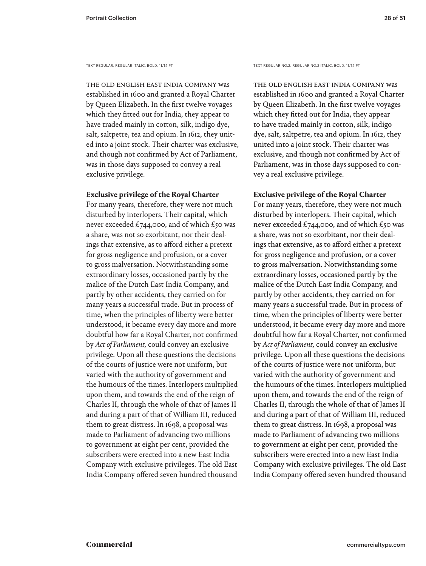The old English East India Company was established in 1600 and granted a Royal Charter by Queen Elizabeth. In the first twelve voyages which they fitted out for India, they appear to have traded mainly in cotton, silk, indigo dye, salt, saltpetre, tea and opium. In 1612, they united into a joint stock. Their charter was exclusive, and though not confirmed by Act of Parliament, was in those days supposed to convey a real exclusive privilege.

### **Exclusive privilege of the Royal Charter**

For many years, therefore, they were not much disturbed by interlopers. Their capital, which never exceeded £744,000, and of which £50 was a share, was not so exorbitant, nor their dealings that extensive, as to afford either a pretext for gross negligence and profusion, or a cover to gross malversation. Notwithstanding some extraordinary losses, occasioned partly by the malice of the Dutch East India Company, and partly by other accidents, they carried on for many years a successful trade. But in process of time, when the principles of liberty were better understood, it became every day more and more doubtful how far a Royal Charter, not confirmed by *Act of Parliament,* could convey an exclusive privilege. Upon all these questions the decisions of the courts of justice were not uniform, but varied with the authority of government and the humours of the times. Interlopers multiplied upon them, and towards the end of the reign of Charles II, through the whole of that of James II and during a part of that of William III, reduced them to great distress. In 1698, a proposal was made to Parliament of advancing two millions to government at eight per cent, provided the subscribers were erected into a new East India Company with exclusive privileges. The old East India Company offered seven hundred thousand

TEXT REGULAR, REGULAR ITALIC, BOLD, 11/14 PT TEXT REGULAR NO.2, REGULAR NO.2 ITALIC, BOLD, 11/14 PT

The old English East India Company was established in 1600 and granted a Royal Charter by Queen Elizabeth. In the first twelve voyages which they fitted out for India, they appear to have traded mainly in cotton, silk, indigo dye, salt, saltpetre, tea and opium. In 1612, they united into a joint stock. Their charter was exclusive, and though not confirmed by Act of Parliament, was in those days supposed to convey a real exclusive privilege.

### **Exclusive privilege of the Royal Charter**

For many years, therefore, they were not much disturbed by interlopers. Their capital, which never exceeded £744,000, and of which £50 was a share, was not so exorbitant, nor their dealings that extensive, as to afford either a pretext for gross negligence and profusion, or a cover to gross malversation. Notwithstanding some extraordinary losses, occasioned partly by the malice of the Dutch East India Company, and partly by other accidents, they carried on for many years a successful trade. But in process of time, when the principles of liberty were better understood, it became every day more and more doubtful how far a Royal Charter, not confirmed by *Act of Parliament,* could convey an exclusive privilege. Upon all these questions the decisions of the courts of justice were not uniform, but varied with the authority of government and the humours of the times. Interlopers multiplied upon them, and towards the end of the reign of Charles II, through the whole of that of James II and during a part of that of William III, reduced them to great distress. In 1698, a proposal was made to Parliament of advancing two millions to government at eight per cent, provided the subscribers were erected into a new East India Company with exclusive privileges. The old East India Company offered seven hundred thousand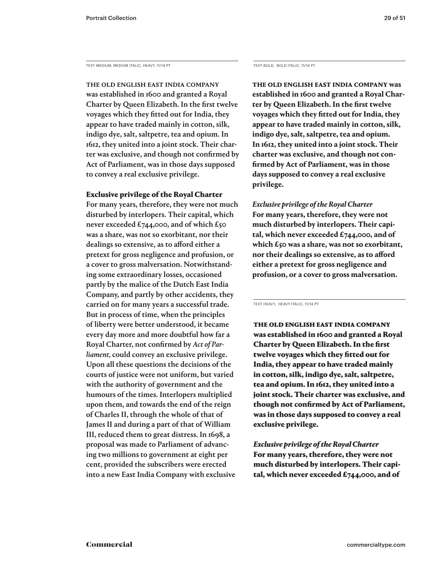TEXT MEDIUM, MEDIUM ITALIC, HEAVY, 11/14 PT

The old English East India Company was established in 1600 and granted a Royal Charter by Queen Elizabeth. In the first twelve voyages which they fitted out for India, they appear to have traded mainly in cotton, silk, indigo dye, salt, saltpetre, tea and opium. In 1612, they united into a joint stock. Their charter was exclusive, and though not confirmed by Act of Parliament, was in those days supposed to convey a real exclusive privilege.

### Exclusive privilege of the Royal Charter

For many years, therefore, they were not much disturbed by interlopers. Their capital, which never exceeded £744,000, and of which £50 was a share, was not so exorbitant, nor their dealings so extensive, as to afford either a pretext for gross negligence and profusion, or a cover to gross malversation. Notwithstanding some extraordinary losses, occasioned partly by the malice of the Dutch East India Company, and partly by other accidents, they carried on for many years a successful trade. But in process of time, when the principles of liberty were better understood, it became every day more and more doubtful how far a Royal Charter, not confirmed by *Act of Parliament,* could convey an exclusive privilege. Upon all these questions the decisions of the courts of justice were not uniform, but varied with the authority of government and the humours of the times. Interlopers multiplied upon them, and towards the end of the reign of Charles II, through the whole of that of James II and during a part of that of William III, reduced them to great distress. In 1698, a proposal was made to Parliament of advancing two millions to government at eight per cent, provided the subscribers were erected into a new East India Company with exclusive

TEXT BOLD, BOLD ITALIC, 11/14 PT

**The old English East India Company was established in 1600 and granted a Royal Charter by Queen Elizabeth. In the first twelve voyages which they fitted out for India, they appear to have traded mainly in cotton, silk, indigo dye, salt, saltpetre, tea and opium. In 1612, they united into a joint stock. Their charter was exclusive, and though not confirmed by Act of Parliament, was in those days supposed to convey a real exclusive privilege.** 

*Exclusive privilege of the Royal Charter* **For many years, therefore, they were not much disturbed by interlopers. Their capital, which never exceeded £744,000, and of which £50 was a share, was not so exorbitant, nor their dealings so extensive, as to afford either a pretext for gross negligence and profusion, or a cover to gross malversation.** 

TEXT HEAVY, HEAVY ITALIC, 11/14 PT

The old English East India Company was established in 1600 and granted a Royal Charter by Queen Elizabeth. In the first twelve voyages which they fitted out for India, they appear to have traded mainly in cotton, silk, indigo dye, salt, saltpetre, tea and opium. In 1612, they united into a joint stock. Their charter was exclusive, and though not confirmed by Act of Parliament, was in those days supposed to convey a real exclusive privilege.

*Exclusive privilege of the Royal Charter* For many years, therefore, they were not much disturbed by interlopers. Their capital, which never exceeded  $£744,000$ , and of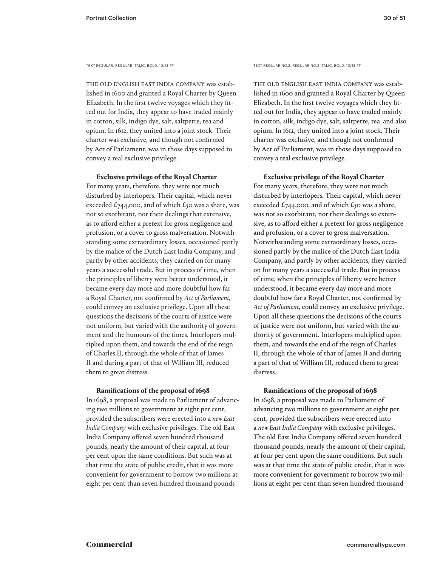The old English East India Company was established in 1600 and granted a Royal Charter by Queen Elizabeth. In the first twelve voyages which they fitted out for India, they appear to have traded mainly in cotton, silk, indigo dye, salt, saltpetre, tea and opium. In 1612, they united into a joint stock. Their charter was exclusive, and though not confirmed by Act of Parliament, was in those days supposed to convey a real exclusive privilege.

**Exclusive privilege of the Royal Charter**

For many years, therefore, they were not much disturbed by interlopers. Their capital, which never exceeded £744,000, and of which £50 was a share, was not so exorbitant, nor their dealings that extensive, as to afford either a pretext for gross negligence and profusion, or a cover to gross malversation. Notwithstanding some extraordinary losses, occasioned partly by the malice of the Dutch East India Company, and partly by other accidents, they carried on for many years a successful trade. But in process of time, when the principles of liberty were better understood, it became every day more and more doubtful how far a Royal Charter, not confirmed by *Act of Parliament,* could convey an exclusive privilege. Upon all these questions the decisions of the courts of justice were not uniform, but varied with the authority of government and the humours of the times. Interlopers multiplied upon them, and towards the end of the reign of Charles II, through the whole of that of James II and during a part of that of William III, reduced them to great distress.

### **Ramifications of the proposal of 1698**

In 1698, a proposal was made to Parliament of advancing two millions to government at eight per cent, provided the subscribers were erected into a *new East India Company* with exclusive privileges. The old East India Company offered seven hundred thousand pounds, nearly the amount of their capital, at four per cent upon the same conditions. But such was at that time the state of public credit, that it was more convenient for government to borrow two millions at eight per cent than seven hundred thousand pounds

TEXT REGULAR, REGULAR ITALIC, BOLD, 10/13 PT TEXT REGULAR NO.2, REGULAR NO.2 ITALIC, BOLD, 10/13 PT

The old English East India Company was established in 1600 and granted a Royal Charter by Queen Elizabeth. In the first twelve voyages which they fitted out for India, they appear to have traded mainly in cotton, silk, indigo dye, salt, saltpetre, tea and also opium. In 1612, they united into a joint stock. Their charter was exclusive, and though not confirmed by Act of Parliament, was in those days supposed to convey a real exclusive privilege.

**Exclusive privilege of the Royal Charter**

For many years, therefore, they were not much disturbed by interlopers. Their capital, which never exceeded £744,000, and of which £50 was a share, was not so exorbitant, nor their dealings so extensive, as to afford either a pretext for gross negligence and profusion, or a cover to gross malversation. Notwithstanding some extraordinary losses, occasioned partly by the malice of the Dutch East India Company, and partly by other accidents, they carried on for many years a successful trade. But in process of time, when the principles of liberty were better understood, it became every day more and more doubtful how far a Royal Charter, not confirmed by *Act of Parliament,* could convey an exclusive privilege. Upon all these questions the decisions of the courts of justice were not uniform, but varied with the authority of government. Interlopers multiplied upon them, and towards the end of the reign of Charles II, through the whole of that of James II and during a part of that of William III, reduced them to great distress.

### **Ramifications of the proposal of 1698**

In 1698, a proposal was made to Parliament of advancing two millions to government at eight per cent, provided the subscribers were erected into a *new East India Company* with exclusive privileges. The old East India Company offered seven hundred thousand pounds, nearly the amount of their capital, at four per cent upon the same conditions. But such was at that time the state of public credit, that it was more convenient for government to borrow two millions at eight per cent than seven hundred thousand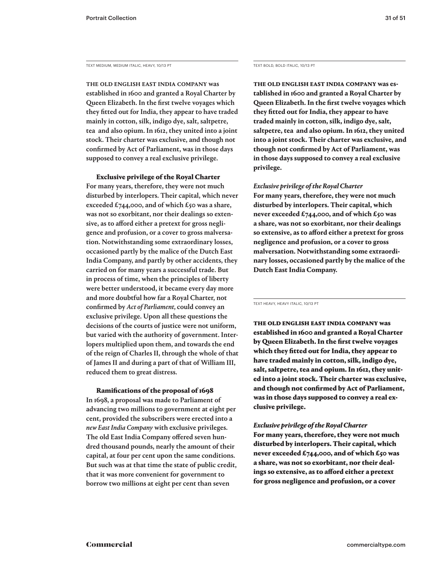TEXT MEDIUM, MEDIUM ITALIC, HEAVY, 10/13 PT TEXT BOLD, BOLD ITALIC, 10/13 PT

The old English East India Company was established in 1600 and granted a Royal Charter by Queen Elizabeth. In the first twelve voyages which they fitted out for India, they appear to have traded mainly in cotton, silk, indigo dye, salt, saltpetre, tea and also opium. In 1612, they united into a joint stock. Their charter was exclusive, and though not confirmed by Act of Parliament, was in those days supposed to convey a real exclusive privilege.

Exclusive privilege of the Royal Charter

For many years, therefore, they were not much disturbed by interlopers. Their capital, which never exceeded £744,000, and of which £50 was a share, was not so exorbitant, nor their dealings so extensive, as to afford either a pretext for gross negligence and profusion, or a cover to gross malversation. Notwithstanding some extraordinary losses, occasioned partly by the malice of the Dutch East India Company, and partly by other accidents, they carried on for many years a successful trade. But in process of time, when the principles of liberty were better understood, it became every day more and more doubtful how far a Royal Charter, not confirmed by *Act of Parliament,* could convey an exclusive privilege. Upon all these questions the decisions of the courts of justice were not uniform, but varied with the authority of government. Interlopers multiplied upon them, and towards the end of the reign of Charles II, through the whole of that of James II and during a part of that of William III, reduced them to great distress.

### Ramifications of the proposal of 1698

In 1698, a proposal was made to Parliament of advancing two millions to government at eight per cent, provided the subscribers were erected into a *new East India Company* with exclusive privileges. The old East India Company offered seven hundred thousand pounds, nearly the amount of their capital, at four per cent upon the same conditions. But such was at that time the state of public credit, that it was more convenient for government to borrow two millions at eight per cent than seven

**The old English East India Company was established in 1600 and granted a Royal Charter by Queen Elizabeth. In the first twelve voyages which they fitted out for India, they appear to have traded mainly in cotton, silk, indigo dye, salt, saltpetre, tea and also opium. In 1612, they united into a joint stock. Their charter was exclusive, and though not confirmed by Act of Parliament, was in those days supposed to convey a real exclusive privilege.** 

### *Exclusive privilege of the Royal Charter*

**For many years, therefore, they were not much disturbed by interlopers. Their capital, which never exceeded £744,000, and of which £50 was a share, was not so exorbitant, nor their dealings so extensive, as to afford either a pretext for gross negligence and profusion, or a cover to gross malversation. Notwithstanding some extraordinary losses, occasioned partly by the malice of the Dutch East India Company.**

TEXT HEAVY, HEAVY ITALIC, 10/13 PT

The old English East India Company was established in 1600 and granted a Royal Charter by Queen Elizabeth. In the first twelve voyages which they fitted out for India, they appear to have traded mainly in cotton, silk, indigo dye, salt, saltpetre, tea and opium. In 1612, they united into a joint stock. Their charter was exclusive, and though not confirmed by Act of Parliament, was in those days supposed to convey a real exclusive privilege.

### *Exclusive privilege of the Royal Charter*

For many years, therefore, they were not much disturbed by interlopers. Their capital, which never exceeded £744,000, and of which £50 was a share, was not so exorbitant, nor their dealings so extensive, as to afford either a pretext for gross negligence and profusion, or a cover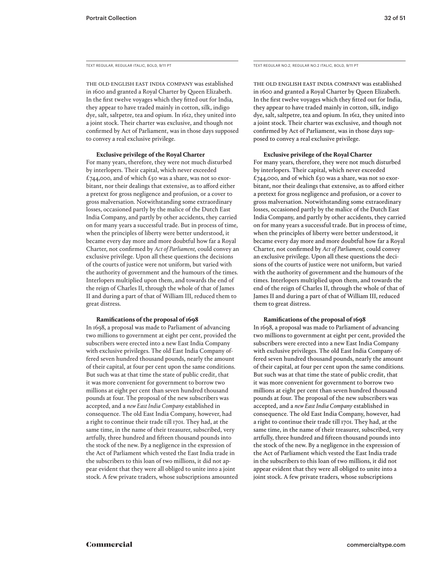TEXT REGULAR, REGULAR ITALIC, BOLD, 9/11 PT

The old English East India Company was established in 1600 and granted a Royal Charter by Queen Elizabeth. In the first twelve voyages which they fitted out for India, they appear to have traded mainly in cotton, silk, indigo dye, salt, saltpetre, tea and opium. In 1612, they united into a joint stock. Their charter was exclusive, and though not confirmed by Act of Parliament, was in those days supposed to convey a real exclusive privilege.

### **Exclusive privilege of the Royal Charter**

For many years, therefore, they were not much disturbed by interlopers. Their capital, which never exceeded £744,000, and of which £50 was a share, was not so exorbitant, nor their dealings that extensive, as to afford either a pretext for gross negligence and profusion, or a cover to gross malversation. Notwithstanding some extraordinary losses, occasioned partly by the malice of the Dutch East India Company, and partly by other accidents, they carried on for many years a successful trade. But in process of time, when the principles of liberty were better understood, it became every day more and more doubtful how far a Royal Charter, not confirmed by *Act of Parliament,* could convey an exclusive privilege. Upon all these questions the decisions of the courts of justice were not uniform, but varied with the authority of government and the humours of the times. Interlopers multiplied upon them, and towards the end of the reign of Charles II, through the whole of that of James II and during a part of that of William III, reduced them to great distress.

### **Ramifications of the proposal of 1698**

In 1698, a proposal was made to Parliament of advancing two millions to government at eight per cent, provided the subscribers were erected into a new East India Company with exclusive privileges. The old East India Company offered seven hundred thousand pounds, nearly the amount of their capital, at four per cent upon the same conditions. But such was at that time the state of public credit, that it was more convenient for government to borrow two millions at eight per cent than seven hundred thousand pounds at four. The proposal of the new subscribers was accepted, and a *new East India Company* established in consequence. The old East India Company, however, had a right to continue their trade till 1701. They had, at the same time, in the name of their treasurer, subscribed, very artfully, three hundred and fifteen thousand pounds into the stock of the new. By a negligence in the expression of the Act of Parliament which vested the East India trade in the subscribers to this loan of two millions, it did not appear evident that they were all obliged to unite into a joint stock. A few private traders, whose subscriptions amounted TEXT REGULAR NO.2, REGULAR NO.2 ITALIC, BOLD, 9/11 PT

The old English East India Company was established in 1600 and granted a Royal Charter by Queen Elizabeth. In the first twelve voyages which they fitted out for India, they appear to have traded mainly in cotton, silk, indigo dye, salt, saltpetre, tea and opium. In 1612, they united into a joint stock. Their charter was exclusive, and though not confirmed by Act of Parliament, was in those days supposed to convey a real exclusive privilege.

### **Exclusive privilege of the Royal Charter**

For many years, therefore, they were not much disturbed by interlopers. Their capital, which never exceeded £744,000, and of which £50 was a share, was not so exorbitant, nor their dealings that extensive, as to afford either a pretext for gross negligence and profusion, or a cover to gross malversation. Notwithstanding some extraordinary losses, occasioned partly by the malice of the Dutch East India Company, and partly by other accidents, they carried on for many years a successful trade. But in process of time, when the principles of liberty were better understood, it became every day more and more doubtful how far a Royal Charter, not confirmed by *Act of Parliament,* could convey an exclusive privilege. Upon all these questions the decisions of the courts of justice were not uniform, but varied with the authority of government and the humours of the times. Interlopers multiplied upon them, and towards the end of the reign of Charles II, through the whole of that of James II and during a part of that of William III, reduced them to great distress.

### **Ramifications of the proposal of 1698**

In 1698, a proposal was made to Parliament of advancing two millions to government at eight per cent, provided the subscribers were erected into a new East India Company with exclusive privileges. The old East India Company offered seven hundred thousand pounds, nearly the amount of their capital, at four per cent upon the same conditions. But such was at that time the state of public credit, that it was more convenient for government to borrow two millions at eight per cent than seven hundred thousand pounds at four. The proposal of the new subscribers was accepted, and a *new East India Company* established in consequence. The old East India Company, however, had a right to continue their trade till 1701. They had, at the same time, in the name of their treasurer, subscribed, very artfully, three hundred and fifteen thousand pounds into the stock of the new. By a negligence in the expression of the Act of Parliament which vested the East India trade in the subscribers to this loan of two millions, it did not appear evident that they were all obliged to unite into a joint stock. A few private traders, whose subscriptions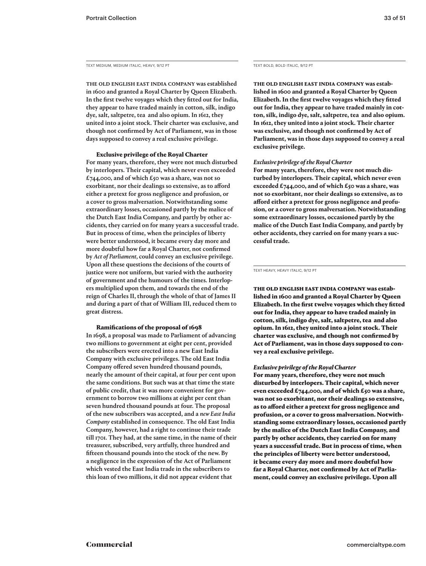TEXT MEDIUM, MEDIUM ITALIC, HEAVY, 9/12 PT

The old English East India Company was established in 1600 and granted a Royal Charter by Queen Elizabeth. In the first twelve voyages which they fitted out for India, they appear to have traded mainly in cotton, silk, indigo dye, salt, saltpetre, tea and also opium. In 1612, they united into a joint stock. Their charter was exclusive, and though not confirmed by Act of Parliament, was in those days supposed to convey a real exclusive privilege.

### Exclusive privilege of the Royal Charter

For many years, therefore, they were not much disturbed by interlopers. Their capital, which never even exceeded £744,000, and of which £50 was a share, was not so exorbitant, nor their dealings so extensive, as to afford either a pretext for gross negligence and profusion, or a cover to gross malversation. Notwithstanding some extraordinary losses, occasioned partly by the malice of the Dutch East India Company, and partly by other accidents, they carried on for many years a successful trade. But in process of time, when the principles of liberty were better understood, it became every day more and more doubtful how far a Royal Charter, not confirmed by *Act of Parliament,* could convey an exclusive privilege. Upon all these questions the decisions of the courts of justice were not uniform, but varied with the authority of government and the humours of the times. Interlopers multiplied upon them, and towards the end of the reign of Charles II, through the whole of that of James II and during a part of that of William III, reduced them to great distress.

### Ramifications of the proposal of 1698

In 1698, a proposal was made to Parliament of advancing two millions to government at eight per cent, provided the subscribers were erected into a new East India Company with exclusive privileges. The old East India Company offered seven hundred thousand pounds, nearly the amount of their capital, at four per cent upon the same conditions. But such was at that time the state of public credit, that it was more convenient for government to borrow two millions at eight per cent than seven hundred thousand pounds at four. The proposal of the new subscribers was accepted, and a *new East India Company* established in consequence. The old East India Company, however, had a right to continue their trade till 1701. They had, at the same time, in the name of their treasurer, subscribed, very artfully, three hundred and fifteen thousand pounds into the stock of the new. By a negligence in the expression of the Act of Parliament which vested the East India trade in the subscribers to this loan of two millions, it did not appear evident that

TEXT BOLD, BOLD ITALIC, 9/12 PT

**The old English East India Company was established in 1600 and granted a Royal Charter by Queen Elizabeth. In the first twelve voyages which they fitted out for India, they appear to have traded mainly in cotton, silk, indigo dye, salt, saltpetre, tea and also opium. In 1612, they united into a joint stock. Their charter was exclusive, and though not confirmed by Act of Parliament, was in those days supposed to convey a real exclusive privilege.** 

### *Exclusive privilege of the Royal Charter*

**For many years, therefore, they were not much disturbed by interlopers. Their capital, which never even exceeded £744,000, and of which £50 was a share, was not so exorbitant, nor their dealings so extensive, as to afford either a pretext for gross negligence and profusion, or a cover to gross malversation. Notwithstanding some extraordinary losses, occasioned partly by the malice of the Dutch East India Company, and partly by other accidents, they carried on for many years a successful trade.**

TEXT HEAVY, HEAVY ITALIC, 9/12 PT

The old English East India Company was established in 1600 and granted a Royal Charter by Queen Elizabeth. In the first twelve voyages which they fitted out for India, they appear to have traded mainly in cotton, silk, indigo dye, salt, saltpetre, tea and also opium. In 1612, they united into a joint stock. Their charter was exclusive, and though not confirmed by Act of Parliament, was in those days supposed to convey a real exclusive privilege.

### *Exclusive privilege of the Royal Charter*

For many years, therefore, they were not much disturbed by interlopers. Their capital, which never even exceeded £744,000, and of which £50 was a share, was not so exorbitant, nor their dealings so extensive, as to afford either a pretext for gross negligence and profusion, or a cover to gross malversation. Notwithstanding some extraordinary losses, occasioned partly by the malice of the Dutch East India Company, and partly by other accidents, they carried on for many years a successful trade. But in process of time, when the principles of liberty were better understood, it became every day more and more doubtful how far a Royal Charter, not confirmed by Act of Parliament, could convey an exclusive privilege. Upon all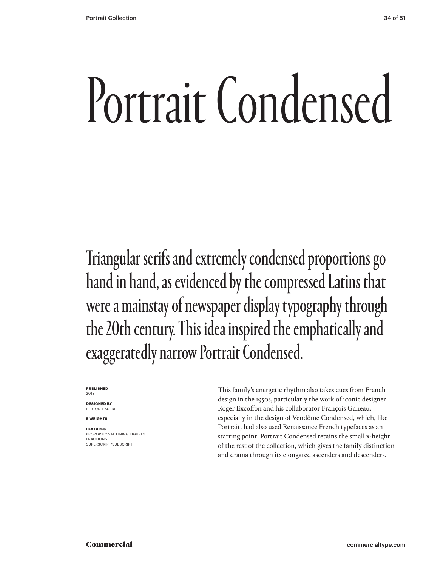## Portrait Condensed

Triangular serifs and extremely condensed proportions go hand in hand, as evidenced by the compressed Latins that were a mainstay of newspaper display typography through the 20th century. This idea inspired the emphatically and exaggeratedly narrow Portrait Condensed.

### **PUBLISHED** 2013

**DESIGNED BY** BERTON HASEBE

**5 WEIGHTS**

### **FEATURES**

PROPORTIONAL LINING FIGURES FRACTIONS SUPERSCRIPT/SUBSCRIPT

This family's energetic rhythm also takes cues from French design in the 1950s, particularly the work of iconic designer Roger Excoffon and his collaborator François Ganeau, especially in the design of Vendôme Condensed, which, like Portrait, had also used Renaissance French typefaces as an starting point. Portrait Condensed retains the small x-height of the rest of the collection, which gives the family distinction and drama through its elongated ascenders and descenders.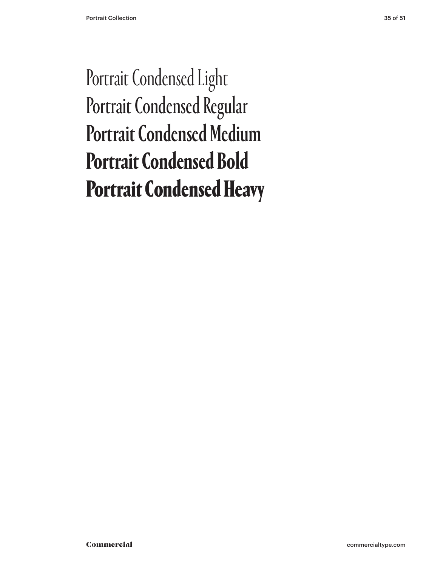### Portrait Condensed Light Portrait Condensed Regular Portrait Condensed Medium **Portrait Condensed Bold** Portrait Condensed Heavy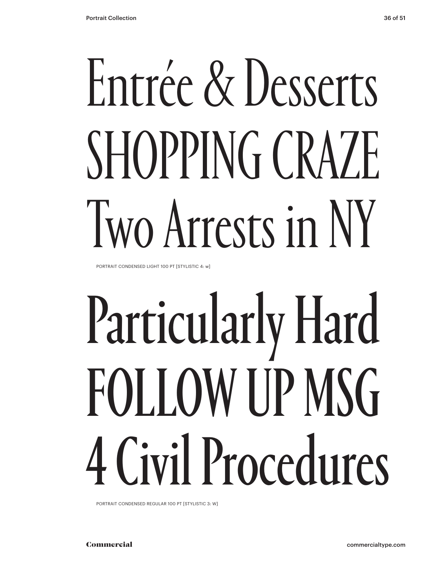# Entrée & Desserts SHOPPING CRAZE Two Arrests in NY

PORTRAIT CONDENSED LIGHT 100 PT [STYLISTIC 4: w]

# Particularly Hard FOLLOW UP MSG 4 Civil Procedures

PORTRAIT CONDENSED REGULAR 100 PT [STYLISTIC 3: W]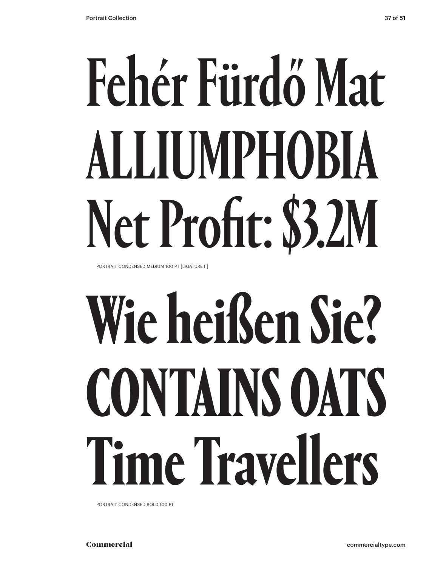# Fehér Fürdő Mat ALLIUMPHOBIA Net Profit: \$3.2M

PORTRAIT CONDENSED MEDIUM 100 PT [LIGATURE fi]

# **Wie heißen Sie? CONTAINS OATS Time Travellers**

PORTRAIT CONDENSED BOLD 100 PT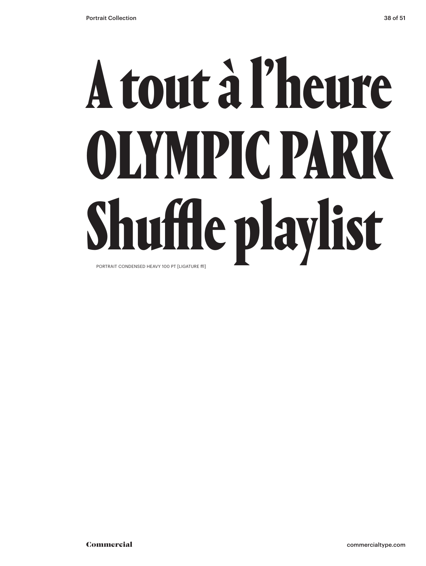## A tout à l'heure OLYMPIC PARK Shuffle playlist PORTRAIT CONDENSED HEAVY 100 PT [LIGATURE ffl]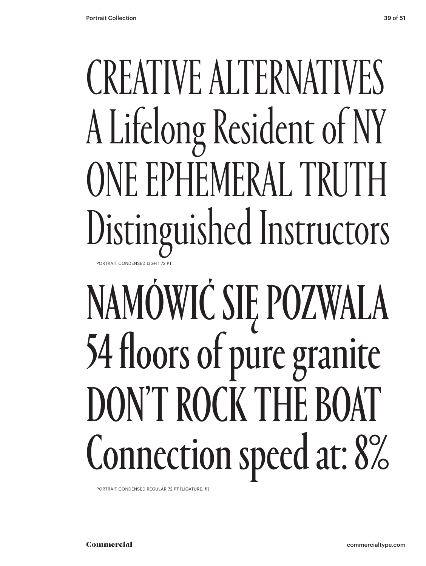### CREATIVE ALTERNATIVES A Lifelong Resident of NY ONE EPHEMERAL TRUTH Distinguished Instructors PORTRAIT CONDENSED LIGHT 72 PT

## NAMÓWIĆ SIĘ POZWALA 54 floors of pure granite DON'T ROCK THE BOAT Connection speed at: 8%

PORTRAIT CONDENSED REGULAR 72 PT [LIGATURE: fl]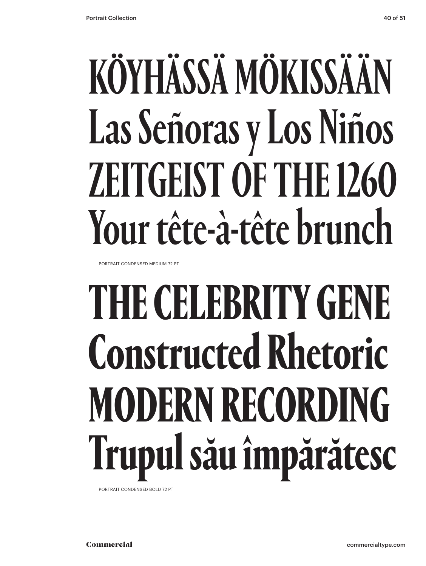## KÖYHÄSSÄ MÖKISSÄÄN Las Señoras y Los Niños ZEITGEIST OF THE 1260 Your tête-à-tête brunch

PORTRAIT CONDENSED MEDIUM 72 PT

## **THE CELEBRITY GENE Constructed Rhetoric MODERN RECORDING Trupul său împărătesc**

PORTRAIT CONDENSED BOLD 72 PT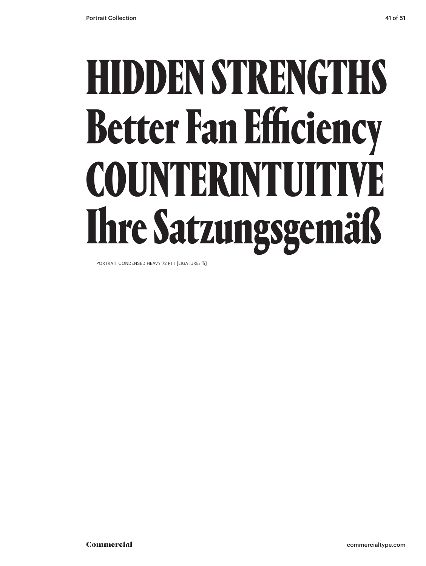## HIDDEN STRENGTHS Better Fan Efficiency COUNTERINTUITIVE Ihre Satzungsgemäß

PORTRAIT CONDENSED HEAVY 72 PTT [LIGATURE: ffi]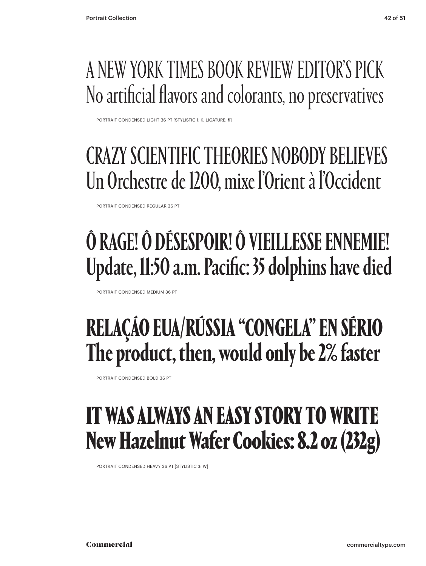### A NEW YORK TIMES BOOK REVIEW EDITOR'S PICK No artificial flavors and colorants, no preservatives

PORTRAIT CONDENSED LIGHT 36 PT [STYLISTIC 1: K, LIGATURE: fl]

### CRAZY SCIENTIFIC THEORIES NOBODY BELIEVES Un Orchestre de 1200, mixe l'Orient à l'Occident

PORTRAIT CONDENSED REGULAR 36 PT

### Ô RAGE! Ô DÉSESPOIR! Ô VIEILLESSE ENNEMIE! Update, 11:50 a.m. Pacific: 35 dolphins have died

PORTRAIT CONDENSED MEDIUM 36 PT

### **RELAÇÁO EUA/RÚSSIA "CONGELA" EN SÉRIO The product, then, would only be 2% faster**

PORTRAIT CONDENSED BOLD 36 PT

### IT WAS ALWAYS AN EASY STORY TO WRITE New Hazelnut Wafer Cookies: 8.2 oz (232g)

PORTRAIT CONDENSED HEAVY 36 PT [STYLISTIC 3: W]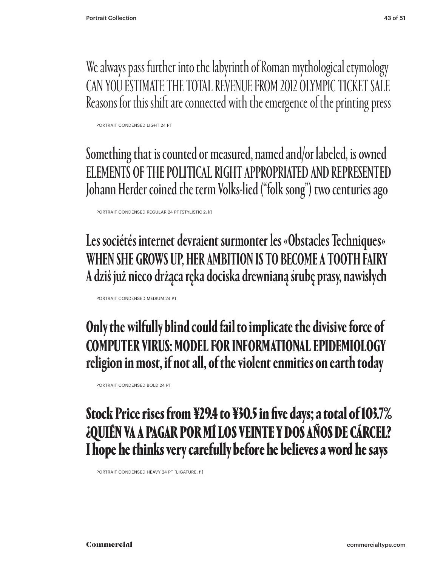We always pass further into the labyrinth of Roman mythological etymology CAN YOU ESTIMATE THE TOTAL REVENUE FROM 2012 OLYMPIC TICKET SALE Reasons for this shift are connected with the emergence of the printing press

PORTRAIT CONDENSED LIGHT 24 PT

Something that is counted or measured, named and/or labeled, is owned ELEMENTS OF THE POLITICAL RIGHT APPROPRIATED AND REPRESENTED Johann Herder coined the term Volks-lied ("folk song") two centuries ago

PORTRAIT CONDENSED REGULAR 24 PT [STYLISTIC 2: k]

Les sociétés internet devraient surmonter les «Obstacles Techniques» WHEN SHE GROWS UP, HER AMBITION IS TO BECOME A TOOTH FAIRY A dziś już nieco drżąca ręka dociska drewnianą śrubę prasy, nawisłych

PORTRAIT CONDENSED MEDIUM 24 PT

**Only the wilfully blind could fail to implicate the divisive force of COMPUTER VIRUS: MODEL FOR INFORMATIONAL EPIDEMIOLOGY religion in most, if not all, of the violent enmities on earth today**

PORTRAIT CONDENSED BOLD 24 PT

### Stock Price rises from ¥29.4 to ¥30.5 in five days; a total of 103.7% ¿QUIÉN VA A PAGAR POR MÍ LOS VEINTE Y DOS AÑOS DE CÁRCEL? I hope he thinks very carefully before he believes a word he says

PORTRAIT CONDENSED HEAVY 24 PT [LIGATURE: fi]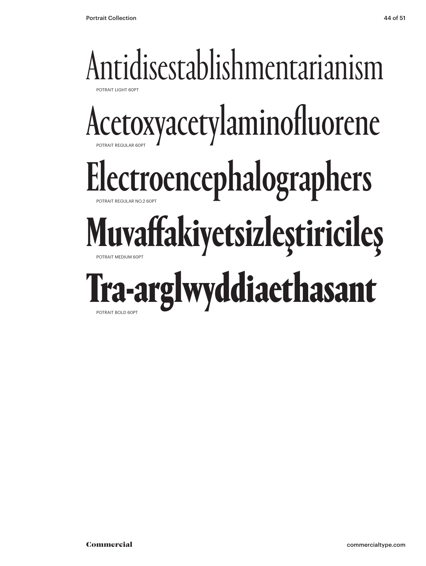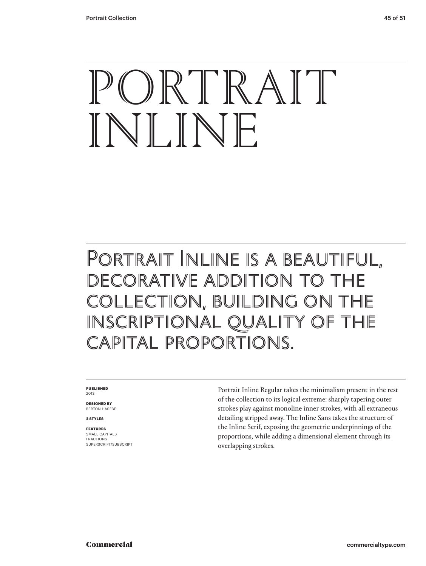## PORTRAIT INLINE

### Portrait Inline is a beautiful, DECORATIVE ADDITION TO COLLECTION, BUILDING OI INSCRIPTIONAL QUALITY OF capital proportions.

### **PUBLISHED** 2013

**DESIGNED BY** BERTON HASEBE

**2 STYLES**

### **FEATURES**

SMALL CAPITALS FRACTIONS SUPERSCRIPT/SUBSCRIPT Portrait Inline Regular takes the minimalism present in the rest of the collection to its logical extreme: sharply tapering outer strokes play against monoline inner strokes, with all extraneous detailing stripped away. The Inline Sans takes the structure of the Inline Serif, exposing the geometric underpinnings of the proportions, while adding a dimensional element through its overlapping strokes.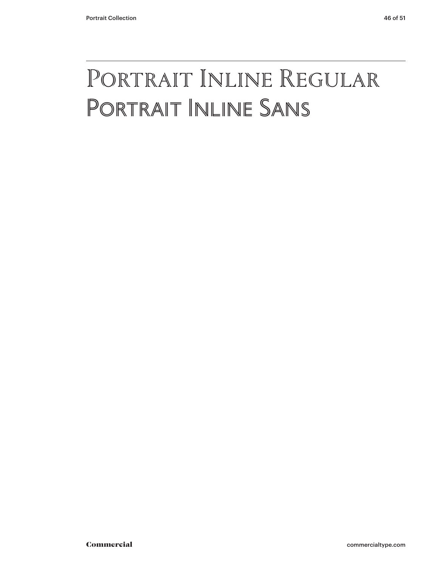### Portrait Inline Regular Portrait Inline Sans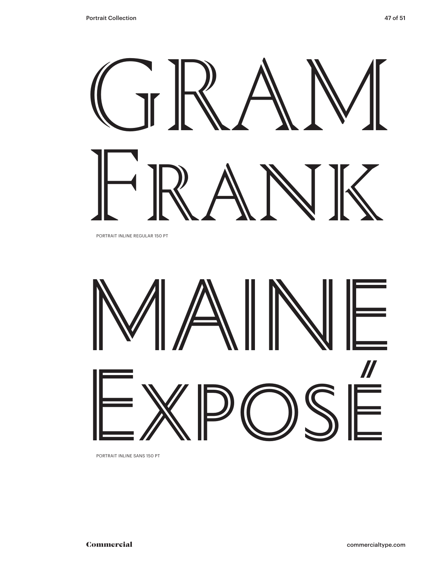

PORTRAIT INLINE REGULAR 150 PT



PORTRAIT INLINE SANS 150 PT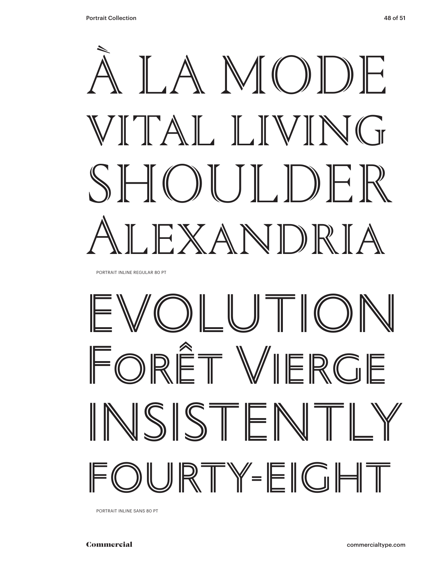

PORTRAIT INLINE REGULAR 80 PT

## EVOLUTION FORÊT VIERGE INSISTENTLY URTY-EIGHT

PORTRAIT INLINE SANS 80 PT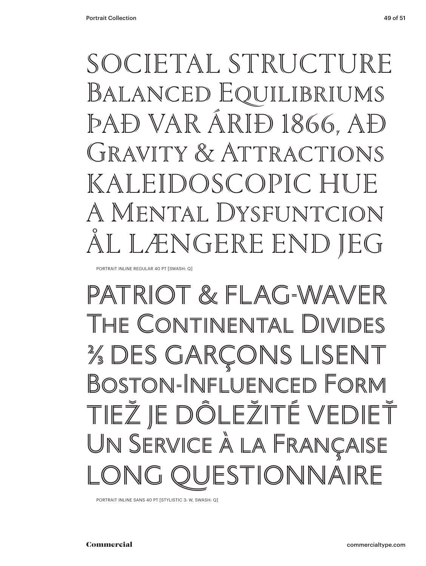SOCIETAL STRUCTURE Balanced E�uilibriums ÞAÐ VAR ÁRIÐ 1866, AÐ GRAVITY & ATTRACTIONS KALEIDOSCOPIC HU A Mental Dysfuntcion NGERE END

PORTRAIT INLINE REGULAR 40 PT [SWASH: Q]

### PATRIOT & FLAG-WAVER The Continental Divid ⅔ DES GARÇONS LISENT Boston-Influenced Form TIEŽ JE DÔLEŽITÉ VEDIEŤ Un Service à la Française ESTIONNAIRE

PORTRAIT INLINE SANS 40 PT [STYLISTIC 3: W, SWASH: Q]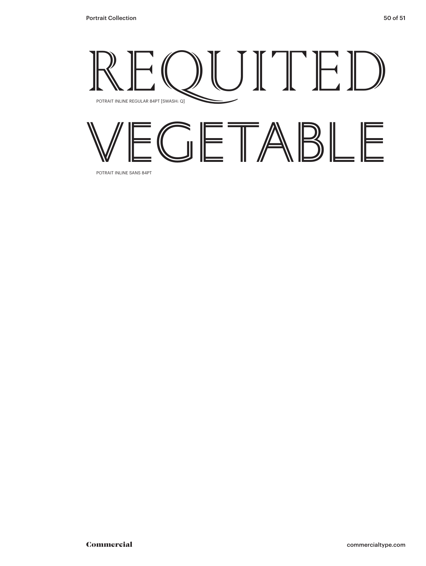

POTRAIT INLINE SANS 84PT